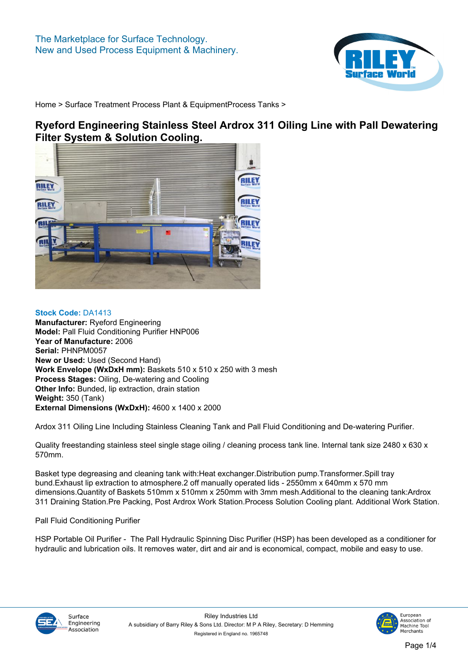

# **Ryeford Engineering Stainless Steel Ardrox 311 Oiling Line with Pall Dewatering Filter System & Solution Cooling.**



**Stock Code: DA1413 Manufacturer: Ryeford Engineering Model: Pall Fluid Conditioning Purifier HNP006 Year of Manufacture: 2006 Serial: PHNPM0057 New or Used: Used (Second Hand) Work Envelope (WxDxH mm): Baskets 510 x 510 x 250 with 3 mesh Process Stages: Oiling, De-watering and Cooling Other Info: Bunded, lip extraction, drain station Weight: 350 (Tank) External Dimensions (WxDxH): 4600 x 1400 x 2000**

**Ardox 311 Oiling Line Including Stainless Cleaning Tank and Pall Fluid Conditioning and De-watering Purifier.**

**Quality freestanding stainless steel single stage oiling / cleaning process tank line. Internal tank size 2480 x 630 x 570mm.**

**Basket type degreasing and cleaning tank with:Heat exchanger.Distribution pump.Transformer.Spill tray bund.Exhaust lip extraction to atmosphere.2 off manually operated lids - 2550mm x 640mm x 570 mm dimensions.Quantity of Baskets 510mm x 510mm x 250mm with 3mm mesh.Additional to the cleaning tank:Ardrox 311 Draining Station.Pre Packing, Post Ardrox Work Station.Process Solution Cooling plant. Additional Work Station.**

#### **Pall Fluid Conditioning Purifier**

**HSP Portable Oil Purifier - The Pall Hydraulic Spinning Disc Purifier (HSP) has been developed as a conditioner for hydraulic and lubrication oils. It removes water, dirt and air and is economical, compact, mobile and easy to use.**



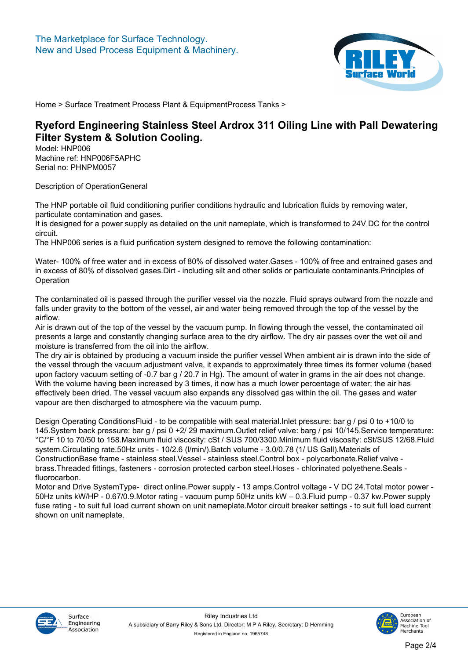

# **Ryeford Engineering Stainless Steel Ardrox 311 Oiling Line with Pall Dewatering Filter System & Solution Cooling.**

**Model: HNP006 Machine ref: HNP006F5APHC Serial no: PHNPM0057**

**Description of OperationGeneral**

**The HNP portable oil fluid conditioning purifier conditions hydraulic and lubrication fluids by removing water, particulate contamination and gases.**

**It is designed for a power supply as detailed on the unit nameplate, which is transformed to 24V DC for the control circuit.**

**The HNP006 series is a fluid purification system designed to remove the following contamination:**

**Water- 100% of free water and in excess of 80% of dissolved water.Gases - 100% of free and entrained gases and in excess of 80% of dissolved gases.Dirt - including silt and other solids or particulate contaminants.Principles of Operation**

**The contaminated oil is passed through the purifier vessel via the nozzle. Fluid sprays outward from the nozzle and falls under gravity to the bottom of the vessel, air and water being removed through the top of the vessel by the airflow.**

**Air is drawn out of the top of the vessel by the vacuum pump. In flowing through the vessel, the contaminated oil presents a large and constantly changing surface area to the dry airflow. The dry air passes over the wet oil and moisture is transferred from the oil into the airflow.**

**The dry air is obtained by producing a vacuum inside the purifier vessel When ambient air is drawn into the side of the vessel through the vacuum adjustment valve, it expands to approximately three times its former volume (based upon factory vacuum setting of -0.7 bar g / 20.7 in Hg). The amount of water in grams in the air does not change. With the volume having been increased by 3 times, it now has a much lower percentage of water; the air has effectively been dried. The vessel vacuum also expands any dissolved gas within the oil. The gases and water vapour are then discharged to atmosphere via the vacuum pump.**

**Design Operating ConditionsFluid - to be compatible with seal material.Inlet pressure: bar g / psi 0 to +10/0 to 145.System back pressure: bar g / psi 0 +2/ 29 maximum.Outlet relief valve: barg / psi 10/145.Service temperature: °C/°F 10 to 70/50 to 158.Maximum fluid viscosity: cSt / SUS 700/3300.Minimum fluid viscosity: cSt/SUS 12/68.Fluid system.Circulating rate.50Hz units - 10/2.6 (l/min/).Batch volume - 3.0/0.78 (1/ US Gall).Materials of**

**ConstructionBase frame - stainless steel.Vessel - stainless steel.Control box - polycarbonate.Relief valve brass.Threaded fittings, fasteners - corrosion protected carbon steel.Hoses - chlorinated polyethene.Seals fluorocarbon.**

**Motor and Drive SystemType- direct online.Power supply - 13 amps.Control voltage - V DC 24.Total motor power - 50Hz units kW/HP - 0.67/0.9.Motor rating - vacuum pump 50Hz units kW – 0.3.Fluid pump - 0.37 kw.Power supply fuse rating - to suit full load current shown on unit nameplate.Motor circuit breaker settings - to suit full load current shown on unit nameplate.**



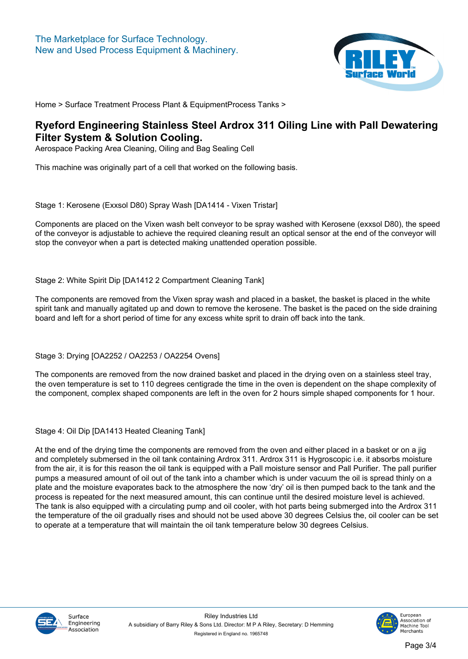

#### **Ryeford Engineering Stainless Steel Ardrox 311 Oiling Line with Pall Dewatering Filter System & Solution Cooling.**

**Aerospace Packing Area Cleaning, Oiling and Bag Sealing Cell**

**This machine was originally part of a cell that worked on the following basis.**

**Stage 1: Kerosene (Exxsol D80) Spray Wash [[DA1414 - Vixen Tristar\]](/machines/30748.htm)**

**Components are placed on the Vixen wash belt conveyor to be spray washed with Kerosene (exxsol D80), the speed of the conveyor is adjustable to achieve the required cleaning result an optical sensor at the end of the conveyor will stop the conveyor when a part is detected making unattended operation possible.**

**Stage 2: White Spirit Dip [\[DA1412 2 Compartment Cleaning Tank\]](/machines/30746.htm)**

**The components are removed from the Vixen spray wash and placed in a basket, the basket is placed in the white spirit tank and manually agitated up and down to remove the kerosene. The basket is the paced on the side draining board and left for a short period of time for any excess white sprit to drain off back into the tank.**

**Stage 3: Drying [\[OA2252](/machines/30752.htm) / [OA2253](/machines/30753.htm) / [OA2254](/machines/30754.htm) Ovens]**

**The components are removed from the now drained basket and placed in the drying oven on a stainless steel tray, the oven temperature is set to 110 degrees centigrade the time in the oven is dependent on the shape complexity of the component, complex shaped components are left in the oven for 2 hours simple shaped components for 1 hour.**

**Stage 4: Oil Dip [[DA1413 Heated Cleaning Tank\]](/machines/30747.htm)**

**At the end of the drying time the components are removed from the oven and either placed in a basket or on a jig and completely submersed in the oil tank containing Ardrox 311. Ardrox 311 is Hygroscopic i.e. it absorbs moisture from the air, it is for this reason the oil tank is equipped with a Pall moisture sensor and Pall Purifier. The pall purifier pumps a measured amount of oil out of the tank into a chamber which is under vacuum the oil is spread thinly on a plate and the moisture evaporates back to the atmosphere the now 'dry' oil is then pumped back to the tank and the process is repeated for the next measured amount, this can continue until the desired moisture level is achieved. The tank is also equipped with a circulating pump and oil cooler, with hot parts being submerged into the Ardrox 311 the temperature of the oil gradually rises and should not be used above 30 degrees Celsius the, oil cooler can be set to operate at a temperature that will maintain the oil tank temperature below 30 degrees Celsius.**